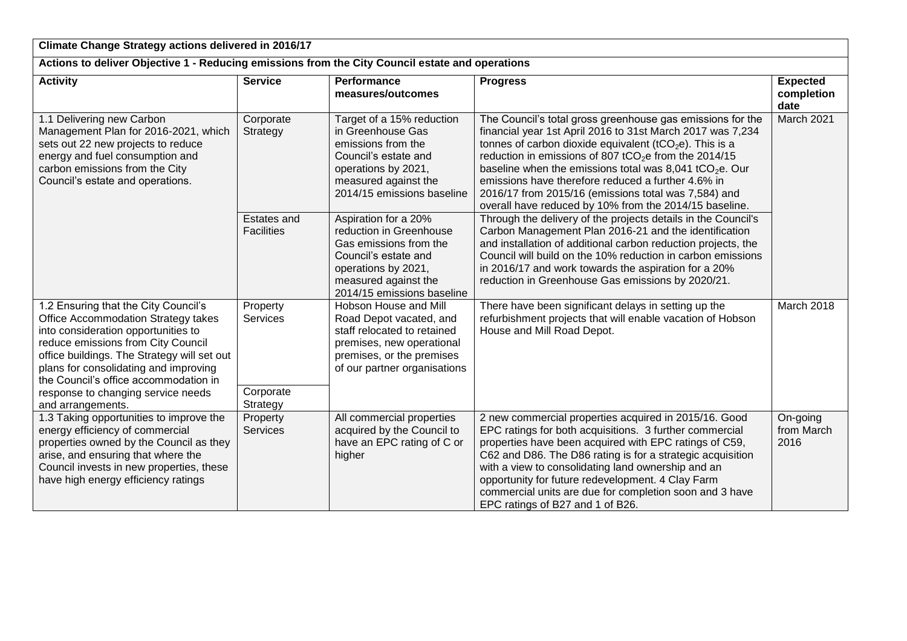| Climate Change Strategy actions delivered in 2016/17                                                                                                                                                                                                                                                                                                 |                                               |                                                                                                                                                                                |                                                                                                                                                                                                                                                                                                                                                                                                                                                                                                            |                                       |
|------------------------------------------------------------------------------------------------------------------------------------------------------------------------------------------------------------------------------------------------------------------------------------------------------------------------------------------------------|-----------------------------------------------|--------------------------------------------------------------------------------------------------------------------------------------------------------------------------------|------------------------------------------------------------------------------------------------------------------------------------------------------------------------------------------------------------------------------------------------------------------------------------------------------------------------------------------------------------------------------------------------------------------------------------------------------------------------------------------------------------|---------------------------------------|
| Actions to deliver Objective 1 - Reducing emissions from the City Council estate and operations                                                                                                                                                                                                                                                      |                                               |                                                                                                                                                                                |                                                                                                                                                                                                                                                                                                                                                                                                                                                                                                            |                                       |
| <b>Activity</b>                                                                                                                                                                                                                                                                                                                                      | <b>Service</b>                                | Performance<br>measures/outcomes                                                                                                                                               | <b>Progress</b>                                                                                                                                                                                                                                                                                                                                                                                                                                                                                            | <b>Expected</b><br>completion<br>date |
| 1.1 Delivering new Carbon<br>Management Plan for 2016-2021, which<br>sets out 22 new projects to reduce<br>energy and fuel consumption and<br>carbon emissions from the City<br>Council's estate and operations.                                                                                                                                     | Corporate<br>Strategy                         | Target of a 15% reduction<br>in Greenhouse Gas<br>emissions from the<br>Council's estate and<br>operations by 2021,<br>measured against the<br>2014/15 emissions baseline      | The Council's total gross greenhouse gas emissions for the<br>financial year 1st April 2016 to 31st March 2017 was 7,234<br>tonnes of carbon dioxide equivalent ( $tCO2e$ ). This is a<br>reduction in emissions of 807 tCO <sub>2</sub> e from the 2014/15<br>baseline when the emissions total was 8,041 tCO <sub>2</sub> e. Our<br>emissions have therefore reduced a further 4.6% in<br>2016/17 from 2015/16 (emissions total was 7,584) and<br>overall have reduced by 10% from the 2014/15 baseline. | March 2021                            |
|                                                                                                                                                                                                                                                                                                                                                      | Estates and<br><b>Facilities</b>              | Aspiration for a 20%<br>reduction in Greenhouse<br>Gas emissions from the<br>Council's estate and<br>operations by 2021,<br>measured against the<br>2014/15 emissions baseline | Through the delivery of the projects details in the Council's<br>Carbon Management Plan 2016-21 and the identification<br>and installation of additional carbon reduction projects, the<br>Council will build on the 10% reduction in carbon emissions<br>in 2016/17 and work towards the aspiration for a 20%<br>reduction in Greenhouse Gas emissions by 2020/21.                                                                                                                                        |                                       |
| 1.2 Ensuring that the City Council's<br>Office Accommodation Strategy takes<br>into consideration opportunities to<br>reduce emissions from City Council<br>office buildings. The Strategy will set out<br>plans for consolidating and improving<br>the Council's office accommodation in<br>response to changing service needs<br>and arrangements. | Property<br>Services<br>Corporate<br>Strategy | Hobson House and Mill<br>Road Depot vacated, and<br>staff relocated to retained<br>premises, new operational<br>premises, or the premises<br>of our partner organisations      | There have been significant delays in setting up the<br>refurbishment projects that will enable vacation of Hobson<br>House and Mill Road Depot.                                                                                                                                                                                                                                                                                                                                                           | March 2018                            |
| 1.3 Taking opportunities to improve the<br>energy efficiency of commercial<br>properties owned by the Council as they<br>arise, and ensuring that where the<br>Council invests in new properties, these<br>have high energy efficiency ratings                                                                                                       | Property<br><b>Services</b>                   | All commercial properties<br>acquired by the Council to<br>have an EPC rating of C or<br>higher                                                                                | 2 new commercial properties acquired in 2015/16. Good<br>EPC ratings for both acquisitions. 3 further commercial<br>properties have been acquired with EPC ratings of C59,<br>C62 and D86. The D86 rating is for a strategic acquisition<br>with a view to consolidating land ownership and an<br>opportunity for future redevelopment. 4 Clay Farm<br>commercial units are due for completion soon and 3 have<br>EPC ratings of B27 and 1 of B26.                                                         | On-going<br>from March<br>2016        |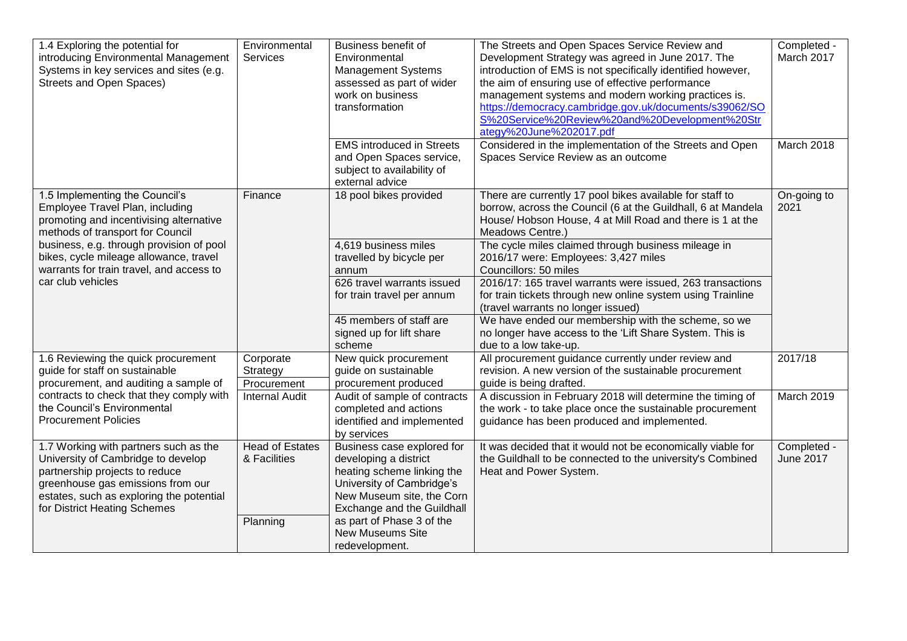| 1.4 Exploring the potential for<br>introducing Environmental Management<br>Systems in key services and sites (e.g.<br><b>Streets and Open Spaces)</b>                                                                          | Environmental<br>Services              | Business benefit of<br>Environmental<br><b>Management Systems</b><br>assessed as part of wider<br>work on business<br>transformation<br><b>EMS</b> introduced in Streets  | The Streets and Open Spaces Service Review and<br>Development Strategy was agreed in June 2017. The<br>introduction of EMS is not specifically identified however,<br>the aim of ensuring use of effective performance<br>management systems and modern working practices is.<br>https://democracy.cambridge.gov.uk/documents/s39062/SO<br>S%20Service%20Review%20and%20Development%20Str<br>ategy%20June%202017.pdf<br>Considered in the implementation of the Streets and Open | Completed -<br>March 2017<br>March 2018 |
|--------------------------------------------------------------------------------------------------------------------------------------------------------------------------------------------------------------------------------|----------------------------------------|---------------------------------------------------------------------------------------------------------------------------------------------------------------------------|----------------------------------------------------------------------------------------------------------------------------------------------------------------------------------------------------------------------------------------------------------------------------------------------------------------------------------------------------------------------------------------------------------------------------------------------------------------------------------|-----------------------------------------|
|                                                                                                                                                                                                                                |                                        | and Open Spaces service,<br>subject to availability of<br>external advice                                                                                                 | Spaces Service Review as an outcome                                                                                                                                                                                                                                                                                                                                                                                                                                              |                                         |
| 1.5 Implementing the Council's<br>Employee Travel Plan, including<br>promoting and incentivising alternative<br>methods of transport for Council                                                                               | Finance                                | 18 pool bikes provided                                                                                                                                                    | There are currently 17 pool bikes available for staff to<br>borrow, across the Council (6 at the Guildhall, 6 at Mandela<br>House/ Hobson House, 4 at Mill Road and there is 1 at the<br>Meadows Centre.)                                                                                                                                                                                                                                                                        | On-going to<br>2021                     |
| business, e.g. through provision of pool<br>bikes, cycle mileage allowance, travel<br>warrants for train travel, and access to<br>car club vehicles                                                                            |                                        | 4,619 business miles<br>travelled by bicycle per<br>annum                                                                                                                 | The cycle miles claimed through business mileage in<br>2016/17 were: Employees: 3,427 miles<br>Councillors: 50 miles                                                                                                                                                                                                                                                                                                                                                             |                                         |
|                                                                                                                                                                                                                                |                                        | 626 travel warrants issued<br>for train travel per annum                                                                                                                  | 2016/17: 165 travel warrants were issued, 263 transactions<br>for train tickets through new online system using Trainline<br>(travel warrants no longer issued)                                                                                                                                                                                                                                                                                                                  |                                         |
|                                                                                                                                                                                                                                |                                        | 45 members of staff are<br>signed up for lift share<br>scheme                                                                                                             | We have ended our membership with the scheme, so we<br>no longer have access to the 'Lift Share System. This is<br>due to a low take-up.                                                                                                                                                                                                                                                                                                                                         |                                         |
| 1.6 Reviewing the quick procurement<br>guide for staff on sustainable<br>procurement, and auditing a sample of                                                                                                                 | Corporate<br>Strategy<br>Procurement   | New quick procurement<br>guide on sustainable<br>procurement produced                                                                                                     | All procurement guidance currently under review and<br>revision. A new version of the sustainable procurement<br>guide is being drafted.                                                                                                                                                                                                                                                                                                                                         | 2017/18                                 |
| contracts to check that they comply with<br>the Council's Environmental<br><b>Procurement Policies</b>                                                                                                                         | <b>Internal Audit</b>                  | Audit of sample of contracts<br>completed and actions<br>identified and implemented<br>by services                                                                        | A discussion in February 2018 will determine the timing of<br>the work - to take place once the sustainable procurement<br>guidance has been produced and implemented.                                                                                                                                                                                                                                                                                                           | March 2019                              |
| 1.7 Working with partners such as the<br>University of Cambridge to develop<br>partnership projects to reduce<br>greenhouse gas emissions from our<br>estates, such as exploring the potential<br>for District Heating Schemes | <b>Head of Estates</b><br>& Facilities | Business case explored for<br>developing a district<br>heating scheme linking the<br>University of Cambridge's<br>New Museum site, the Corn<br>Exchange and the Guildhall | It was decided that it would not be economically viable for<br>the Guildhall to be connected to the university's Combined<br>Heat and Power System.                                                                                                                                                                                                                                                                                                                              | Completed -<br><b>June 2017</b>         |
|                                                                                                                                                                                                                                | Planning                               | as part of Phase 3 of the<br><b>New Museums Site</b><br>redevelopment.                                                                                                    |                                                                                                                                                                                                                                                                                                                                                                                                                                                                                  |                                         |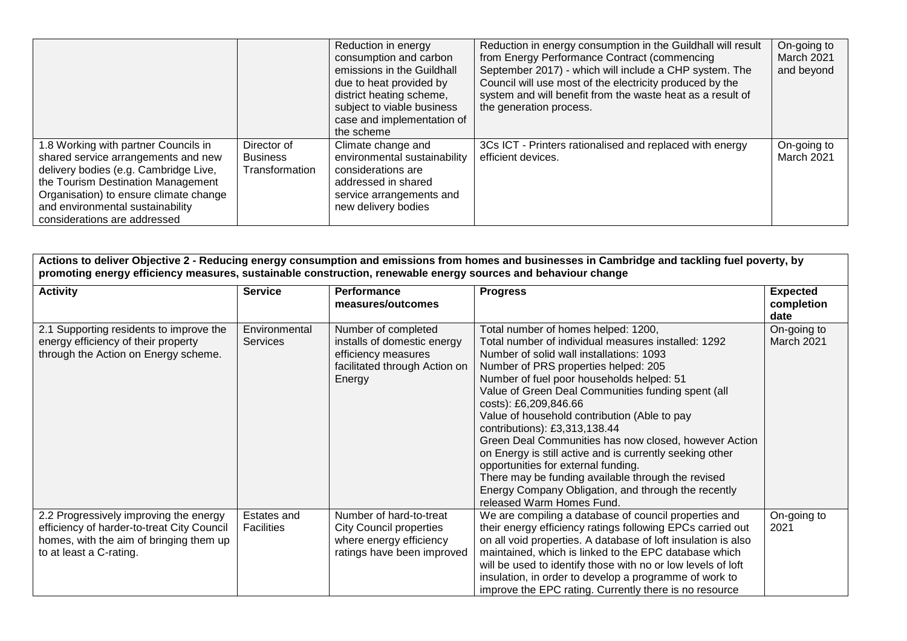|                                                                                                                                                                                                                                                                          |                                                  | Reduction in energy<br>consumption and carbon<br>emissions in the Guildhall<br>due to heat provided by<br>district heating scheme,<br>subject to viable business<br>case and implementation of<br>the scheme | Reduction in energy consumption in the Guildhall will result<br>from Energy Performance Contract (commencing<br>September 2017) - which will include a CHP system. The<br>Council will use most of the electricity produced by the<br>system and will benefit from the waste heat as a result of<br>the generation process. | On-going to<br>March 2021<br>and beyond |
|--------------------------------------------------------------------------------------------------------------------------------------------------------------------------------------------------------------------------------------------------------------------------|--------------------------------------------------|--------------------------------------------------------------------------------------------------------------------------------------------------------------------------------------------------------------|-----------------------------------------------------------------------------------------------------------------------------------------------------------------------------------------------------------------------------------------------------------------------------------------------------------------------------|-----------------------------------------|
| 1.8 Working with partner Councils in<br>shared service arrangements and new<br>delivery bodies (e.g. Cambridge Live,<br>the Tourism Destination Management<br>Organisation) to ensure climate change<br>and environmental sustainability<br>considerations are addressed | Director of<br><b>Business</b><br>Transformation | Climate change and<br>environmental sustainability<br>considerations are<br>addressed in shared<br>service arrangements and<br>new delivery bodies                                                           | 3Cs ICT - Printers rationalised and replaced with energy<br>efficient devices.                                                                                                                                                                                                                                              | On-going to<br>March 2021               |

**Actions to deliver Objective 2 - Reducing energy consumption and emissions from homes and businesses in Cambridge and tackling fuel poverty, by promoting energy efficiency measures, sustainable construction, renewable energy sources and behaviour change**

| <b>Activity</b>                                                                                                                                            | <b>Service</b>                   | <b>Performance</b><br>measures/outcomes                                                                              | <b>Progress</b>                                                                                                                                                                                                                                                                                                                                                                                                                                                                                                                                                                                                                                                                                   | <b>Expected</b><br>completion |
|------------------------------------------------------------------------------------------------------------------------------------------------------------|----------------------------------|----------------------------------------------------------------------------------------------------------------------|---------------------------------------------------------------------------------------------------------------------------------------------------------------------------------------------------------------------------------------------------------------------------------------------------------------------------------------------------------------------------------------------------------------------------------------------------------------------------------------------------------------------------------------------------------------------------------------------------------------------------------------------------------------------------------------------------|-------------------------------|
|                                                                                                                                                            |                                  |                                                                                                                      |                                                                                                                                                                                                                                                                                                                                                                                                                                                                                                                                                                                                                                                                                                   | date                          |
| 2.1 Supporting residents to improve the<br>energy efficiency of their property<br>through the Action on Energy scheme.                                     | Environmental<br><b>Services</b> | Number of completed<br>installs of domestic energy<br>efficiency measures<br>facilitated through Action on<br>Energy | Total number of homes helped: 1200,<br>Total number of individual measures installed: 1292<br>Number of solid wall installations: 1093<br>Number of PRS properties helped: 205<br>Number of fuel poor households helped: 51<br>Value of Green Deal Communities funding spent (all<br>costs): £6,209,846.66<br>Value of household contribution (Able to pay<br>contributions): £3,313,138.44<br>Green Deal Communities has now closed, however Action<br>on Energy is still active and is currently seeking other<br>opportunities for external funding.<br>There may be funding available through the revised<br>Energy Company Obligation, and through the recently<br>released Warm Homes Fund. | On-going to<br>March 2021     |
| 2.2 Progressively improving the energy<br>efficiency of harder-to-treat City Council<br>homes, with the aim of bringing them up<br>to at least a C-rating. | Estates and<br><b>Facilities</b> | Number of hard-to-treat<br><b>City Council properties</b><br>where energy efficiency<br>ratings have been improved   | We are compiling a database of council properties and<br>their energy efficiency ratings following EPCs carried out<br>on all void properties. A database of loft insulation is also<br>maintained, which is linked to the EPC database which<br>will be used to identify those with no or low levels of loft<br>insulation, in order to develop a programme of work to<br>improve the EPC rating. Currently there is no resource                                                                                                                                                                                                                                                                 | On-going to<br>2021           |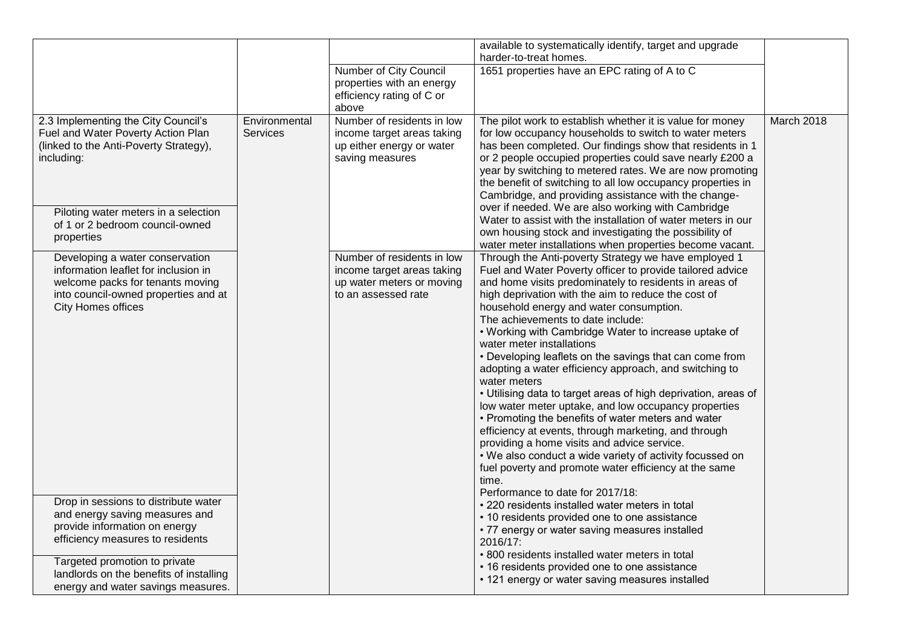|                                                                                                                                                                                                                                                               |                                  |                                                                                                              | available to systematically identify, target and upgrade<br>harder-to-treat homes.                                                                                                                                                                                                                                                                                                                                                                                                                                                                                                                                                                                                                                                                                                                                                                                                                                                                                                                    |            |
|---------------------------------------------------------------------------------------------------------------------------------------------------------------------------------------------------------------------------------------------------------------|----------------------------------|--------------------------------------------------------------------------------------------------------------|-------------------------------------------------------------------------------------------------------------------------------------------------------------------------------------------------------------------------------------------------------------------------------------------------------------------------------------------------------------------------------------------------------------------------------------------------------------------------------------------------------------------------------------------------------------------------------------------------------------------------------------------------------------------------------------------------------------------------------------------------------------------------------------------------------------------------------------------------------------------------------------------------------------------------------------------------------------------------------------------------------|------------|
|                                                                                                                                                                                                                                                               |                                  | Number of City Council<br>properties with an energy<br>efficiency rating of C or<br>above                    | 1651 properties have an EPC rating of A to C                                                                                                                                                                                                                                                                                                                                                                                                                                                                                                                                                                                                                                                                                                                                                                                                                                                                                                                                                          |            |
| 2.3 Implementing the City Council's<br>Fuel and Water Poverty Action Plan<br>(linked to the Anti-Poverty Strategy),<br>including:<br>Piloting water meters in a selection<br>of 1 or 2 bedroom council-owned<br>properties                                    | Environmental<br><b>Services</b> | Number of residents in low<br>income target areas taking<br>up either energy or water<br>saving measures     | The pilot work to establish whether it is value for money<br>for low occupancy households to switch to water meters<br>has been completed. Our findings show that residents in 1<br>or 2 people occupied properties could save nearly £200 a<br>year by switching to metered rates. We are now promoting<br>the benefit of switching to all low occupancy properties in<br>Cambridge, and providing assistance with the change-<br>over if needed. We are also working with Cambridge<br>Water to assist with the installation of water meters in our<br>own housing stock and investigating the possibility of<br>water meter installations when properties become vacant.                                                                                                                                                                                                                                                                                                                           | March 2018 |
| Developing a water conservation<br>information leaflet for inclusion in<br>welcome packs for tenants moving<br>into council-owned properties and at<br><b>City Homes offices</b>                                                                              |                                  | Number of residents in low<br>income target areas taking<br>up water meters or moving<br>to an assessed rate | Through the Anti-poverty Strategy we have employed 1<br>Fuel and Water Poverty officer to provide tailored advice<br>and home visits predominately to residents in areas of<br>high deprivation with the aim to reduce the cost of<br>household energy and water consumption.<br>The achievements to date include:<br>• Working with Cambridge Water to increase uptake of<br>water meter installations<br>• Developing leaflets on the savings that can come from<br>adopting a water efficiency approach, and switching to<br>water meters<br>• Utilising data to target areas of high deprivation, areas of<br>low water meter uptake, and low occupancy properties<br>• Promoting the benefits of water meters and water<br>efficiency at events, through marketing, and through<br>providing a home visits and advice service.<br>. We also conduct a wide variety of activity focussed on<br>fuel poverty and promote water efficiency at the same<br>time.<br>Performance to date for 2017/18: |            |
| Drop in sessions to distribute water<br>and energy saving measures and<br>provide information on energy<br>efficiency measures to residents<br>Targeted promotion to private<br>landlords on the benefits of installing<br>energy and water savings measures. |                                  |                                                                                                              | • 220 residents installed water meters in total<br>• 10 residents provided one to one assistance<br>• 77 energy or water saving measures installed<br>2016/17:<br>• 800 residents installed water meters in total<br>• 16 residents provided one to one assistance<br>• 121 energy or water saving measures installed                                                                                                                                                                                                                                                                                                                                                                                                                                                                                                                                                                                                                                                                                 |            |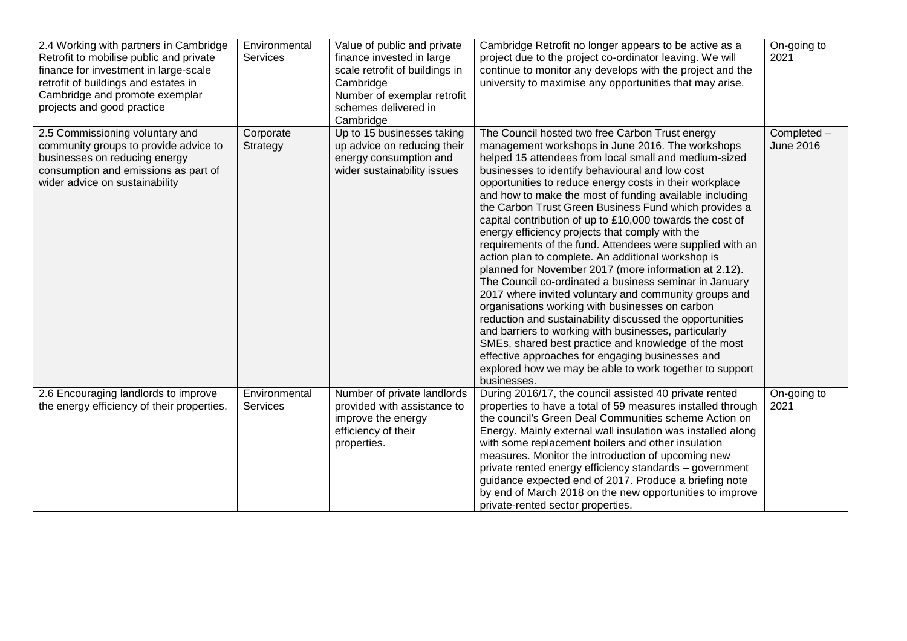| 2.4 Working with partners in Cambridge<br>Retrofit to mobilise public and private<br>finance for investment in large-scale<br>retrofit of buildings and estates in<br>Cambridge and promote exemplar<br>projects and good practice | Environmental<br><b>Services</b> | Value of public and private<br>finance invested in large<br>scale retrofit of buildings in<br>Cambridge<br>Number of exemplar retrofit<br>schemes delivered in<br>Cambridge | Cambridge Retrofit no longer appears to be active as a<br>project due to the project co-ordinator leaving. We will<br>continue to monitor any develops with the project and the<br>university to maximise any opportunities that may arise.                                                                                                                                                                                                                                                                                                                                                                                                                                                                                                                                                                                                                                                                                                                                                                                                                                                                                                                                 | On-going to<br>2021             |
|------------------------------------------------------------------------------------------------------------------------------------------------------------------------------------------------------------------------------------|----------------------------------|-----------------------------------------------------------------------------------------------------------------------------------------------------------------------------|-----------------------------------------------------------------------------------------------------------------------------------------------------------------------------------------------------------------------------------------------------------------------------------------------------------------------------------------------------------------------------------------------------------------------------------------------------------------------------------------------------------------------------------------------------------------------------------------------------------------------------------------------------------------------------------------------------------------------------------------------------------------------------------------------------------------------------------------------------------------------------------------------------------------------------------------------------------------------------------------------------------------------------------------------------------------------------------------------------------------------------------------------------------------------------|---------------------------------|
| 2.5 Commissioning voluntary and<br>community groups to provide advice to<br>businesses on reducing energy<br>consumption and emissions as part of<br>wider advice on sustainability                                                | Corporate<br>Strategy            | Up to 15 businesses taking<br>up advice on reducing their<br>energy consumption and<br>wider sustainability issues                                                          | The Council hosted two free Carbon Trust energy<br>management workshops in June 2016. The workshops<br>helped 15 attendees from local small and medium-sized<br>businesses to identify behavioural and low cost<br>opportunities to reduce energy costs in their workplace<br>and how to make the most of funding available including<br>the Carbon Trust Green Business Fund which provides a<br>capital contribution of up to £10,000 towards the cost of<br>energy efficiency projects that comply with the<br>requirements of the fund. Attendees were supplied with an<br>action plan to complete. An additional workshop is<br>planned for November 2017 (more information at 2.12).<br>The Council co-ordinated a business seminar in January<br>2017 where invited voluntary and community groups and<br>organisations working with businesses on carbon<br>reduction and sustainability discussed the opportunities<br>and barriers to working with businesses, particularly<br>SMEs, shared best practice and knowledge of the most<br>effective approaches for engaging businesses and<br>explored how we may be able to work together to support<br>businesses. | Completed -<br><b>June 2016</b> |
| 2.6 Encouraging landlords to improve<br>the energy efficiency of their properties.                                                                                                                                                 | Environmental<br><b>Services</b> | Number of private landlords<br>provided with assistance to<br>improve the energy<br>efficiency of their<br>properties.                                                      | During 2016/17, the council assisted 40 private rented<br>properties to have a total of 59 measures installed through<br>the council's Green Deal Communities scheme Action on<br>Energy. Mainly external wall insulation was installed along<br>with some replacement boilers and other insulation<br>measures. Monitor the introduction of upcoming new<br>private rented energy efficiency standards - government<br>guidance expected end of 2017. Produce a briefing note<br>by end of March 2018 on the new opportunities to improve<br>private-rented sector properties.                                                                                                                                                                                                                                                                                                                                                                                                                                                                                                                                                                                             | On-going to<br>2021             |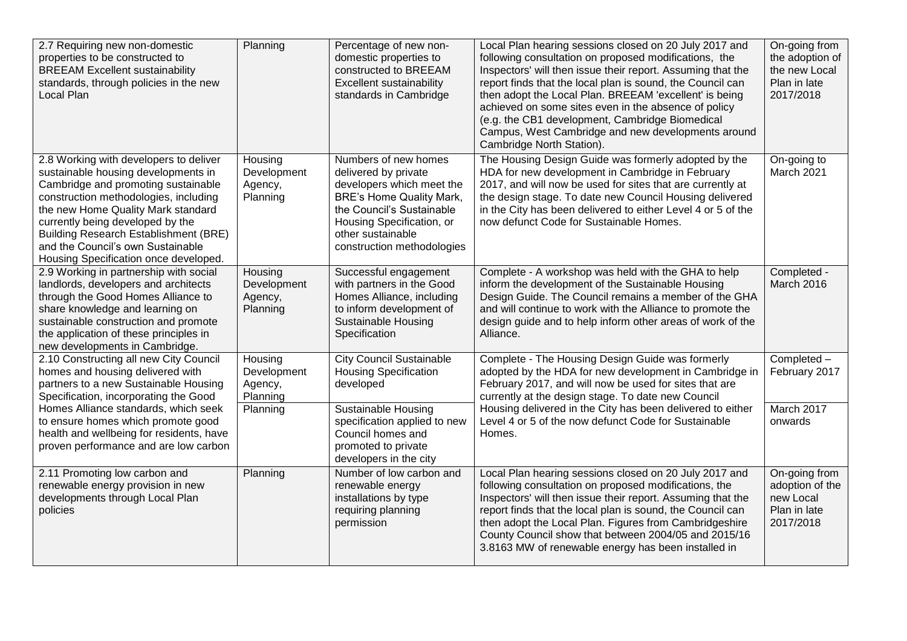| 2.7 Requiring new non-domestic<br>properties to be constructed to<br><b>BREEAM Excellent sustainability</b><br>standards, through policies in the new<br>Local Plan                                                                                                                                                                                                   | Planning                                      | Percentage of new non-<br>domestic properties to<br>constructed to BREEAM<br>Excellent sustainability<br>standards in Cambridge                                                                                           | Local Plan hearing sessions closed on 20 July 2017 and<br>following consultation on proposed modifications, the<br>Inspectors' will then issue their report. Assuming that the<br>report finds that the local plan is sound, the Council can<br>then adopt the Local Plan. BREEAM 'excellent' is being<br>achieved on some sites even in the absence of policy<br>(e.g. the CB1 development, Cambridge Biomedical<br>Campus, West Cambridge and new developments around<br>Cambridge North Station). | On-going from<br>the adoption of<br>the new Local<br>Plan in late<br>2017/2018 |
|-----------------------------------------------------------------------------------------------------------------------------------------------------------------------------------------------------------------------------------------------------------------------------------------------------------------------------------------------------------------------|-----------------------------------------------|---------------------------------------------------------------------------------------------------------------------------------------------------------------------------------------------------------------------------|------------------------------------------------------------------------------------------------------------------------------------------------------------------------------------------------------------------------------------------------------------------------------------------------------------------------------------------------------------------------------------------------------------------------------------------------------------------------------------------------------|--------------------------------------------------------------------------------|
| 2.8 Working with developers to deliver<br>sustainable housing developments in<br>Cambridge and promoting sustainable<br>construction methodologies, including<br>the new Home Quality Mark standard<br>currently being developed by the<br><b>Building Research Establishment (BRE)</b><br>and the Council's own Sustainable<br>Housing Specification once developed. | Housing<br>Development<br>Agency,<br>Planning | Numbers of new homes<br>delivered by private<br>developers which meet the<br><b>BRE's Home Quality Mark,</b><br>the Council's Sustainable<br>Housing Specification, or<br>other sustainable<br>construction methodologies | The Housing Design Guide was formerly adopted by the<br>HDA for new development in Cambridge in February<br>2017, and will now be used for sites that are currently at<br>the design stage. To date new Council Housing delivered<br>in the City has been delivered to either Level 4 or 5 of the<br>now defunct Code for Sustainable Homes.                                                                                                                                                         | On-going to<br>March 2021                                                      |
| 2.9 Working in partnership with social<br>landlords, developers and architects<br>through the Good Homes Alliance to<br>share knowledge and learning on<br>sustainable construction and promote<br>the application of these principles in<br>new developments in Cambridge.                                                                                           | Housing<br>Development<br>Agency,<br>Planning | Successful engagement<br>with partners in the Good<br>Homes Alliance, including<br>to inform development of<br><b>Sustainable Housing</b><br>Specification                                                                | Complete - A workshop was held with the GHA to help<br>inform the development of the Sustainable Housing<br>Design Guide. The Council remains a member of the GHA<br>and will continue to work with the Alliance to promote the<br>design guide and to help inform other areas of work of the<br>Alliance.                                                                                                                                                                                           | Completed -<br>March 2016                                                      |
| 2.10 Constructing all new City Council<br>homes and housing delivered with<br>partners to a new Sustainable Housing<br>Specification, incorporating the Good                                                                                                                                                                                                          | Housing<br>Development<br>Agency,<br>Planning | <b>City Council Sustainable</b><br><b>Housing Specification</b><br>developed                                                                                                                                              | Complete - The Housing Design Guide was formerly<br>adopted by the HDA for new development in Cambridge in<br>February 2017, and will now be used for sites that are<br>currently at the design stage. To date new Council                                                                                                                                                                                                                                                                           | Completed -<br>February 2017                                                   |
| Homes Alliance standards, which seek<br>to ensure homes which promote good<br>health and wellbeing for residents, have<br>proven performance and are low carbon                                                                                                                                                                                                       | Planning                                      | Sustainable Housing<br>specification applied to new<br>Council homes and<br>promoted to private<br>developers in the city                                                                                                 | Housing delivered in the City has been delivered to either<br>Level 4 or 5 of the now defunct Code for Sustainable<br>Homes.                                                                                                                                                                                                                                                                                                                                                                         | March 2017<br>onwards                                                          |
| 2.11 Promoting low carbon and<br>renewable energy provision in new<br>developments through Local Plan<br>policies                                                                                                                                                                                                                                                     | Planning                                      | Number of low carbon and<br>renewable energy<br>installations by type<br>requiring planning<br>permission                                                                                                                 | Local Plan hearing sessions closed on 20 July 2017 and<br>following consultation on proposed modifications, the<br>Inspectors' will then issue their report. Assuming that the<br>report finds that the local plan is sound, the Council can<br>then adopt the Local Plan. Figures from Cambridgeshire<br>County Council show that between 2004/05 and 2015/16<br>3.8163 MW of renewable energy has been installed in                                                                                | On-going from<br>adoption of the<br>new Local<br>Plan in late<br>2017/2018     |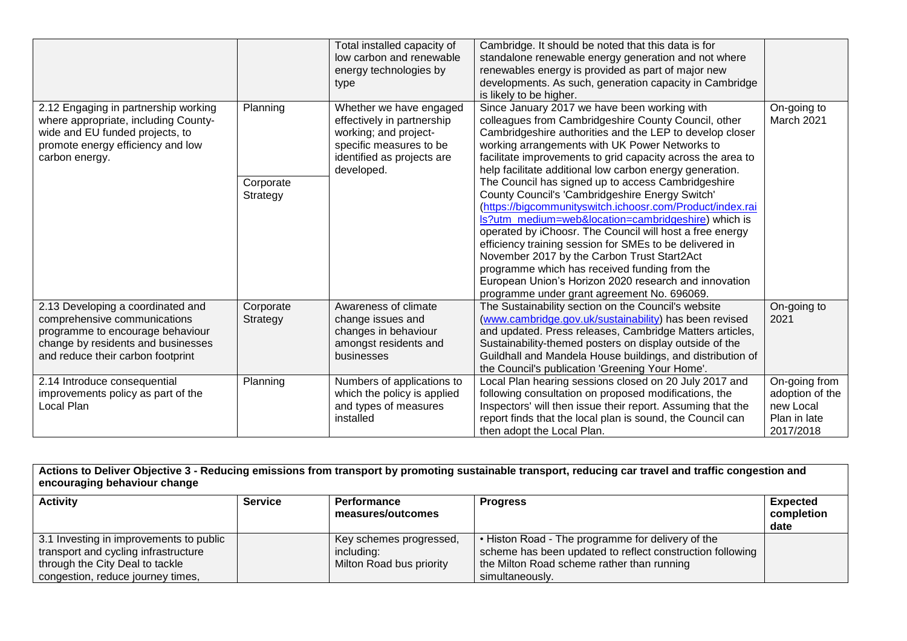|                                                                                                                                                                                  |                                   | Total installed capacity of<br>low carbon and renewable<br>energy technologies by<br>type                                                             | Cambridge. It should be noted that this data is for<br>standalone renewable energy generation and not where<br>renewables energy is provided as part of major new<br>developments. As such, generation capacity in Cambridge<br>is likely to be higher.                                                                                                                                                                                                                                                                                                                                                                                                                                                                                                                                                                                                                                                   |                                                                            |
|----------------------------------------------------------------------------------------------------------------------------------------------------------------------------------|-----------------------------------|-------------------------------------------------------------------------------------------------------------------------------------------------------|-----------------------------------------------------------------------------------------------------------------------------------------------------------------------------------------------------------------------------------------------------------------------------------------------------------------------------------------------------------------------------------------------------------------------------------------------------------------------------------------------------------------------------------------------------------------------------------------------------------------------------------------------------------------------------------------------------------------------------------------------------------------------------------------------------------------------------------------------------------------------------------------------------------|----------------------------------------------------------------------------|
| 2.12 Engaging in partnership working<br>where appropriate, including County-<br>wide and EU funded projects, to<br>promote energy efficiency and low<br>carbon energy.           | Planning<br>Corporate<br>Strategy | Whether we have engaged<br>effectively in partnership<br>working; and project-<br>specific measures to be<br>identified as projects are<br>developed. | Since January 2017 we have been working with<br>colleagues from Cambridgeshire County Council, other<br>Cambridgeshire authorities and the LEP to develop closer<br>working arrangements with UK Power Networks to<br>facilitate improvements to grid capacity across the area to<br>help facilitate additional low carbon energy generation.<br>The Council has signed up to access Cambridgeshire<br>County Council's 'Cambridgeshire Energy Switch'<br>(https://bigcommunityswitch.ichoosr.com/Product/index.rai<br>Is?utm_medium=web&location=cambridgeshire) which is<br>operated by iChoosr. The Council will host a free energy<br>efficiency training session for SMEs to be delivered in<br>November 2017 by the Carbon Trust Start2Act<br>programme which has received funding from the<br>European Union's Horizon 2020 research and innovation<br>programme under grant agreement No. 696069. | On-going to<br>March 2021                                                  |
| 2.13 Developing a coordinated and<br>comprehensive communications<br>programme to encourage behaviour<br>change by residents and businesses<br>and reduce their carbon footprint | Corporate<br>Strategy             | Awareness of climate<br>change issues and<br>changes in behaviour<br>amongst residents and<br>businesses                                              | The Sustainability section on the Council's website<br>(www.cambridge.gov.uk/sustainability) has been revised<br>and updated. Press releases, Cambridge Matters articles,<br>Sustainability-themed posters on display outside of the<br>Guildhall and Mandela House buildings, and distribution of<br>the Council's publication 'Greening Your Home'.                                                                                                                                                                                                                                                                                                                                                                                                                                                                                                                                                     | On-going to<br>2021                                                        |
| 2.14 Introduce consequential<br>improvements policy as part of the<br>Local Plan                                                                                                 | Planning                          | Numbers of applications to<br>which the policy is applied<br>and types of measures<br>installed                                                       | Local Plan hearing sessions closed on 20 July 2017 and<br>following consultation on proposed modifications, the<br>Inspectors' will then issue their report. Assuming that the<br>report finds that the local plan is sound, the Council can<br>then adopt the Local Plan.                                                                                                                                                                                                                                                                                                                                                                                                                                                                                                                                                                                                                                | On-going from<br>adoption of the<br>new Local<br>Plan in late<br>2017/2018 |

**Actions to Deliver Objective 3 - Reducing emissions from transport by promoting sustainable transport, reducing car travel and traffic congestion and encouraging behaviour change**

| <b>Activity</b>                         | <b>Service</b> | <b>Performance</b>       | <b>Progress</b>                                           | <b>Expected</b> |
|-----------------------------------------|----------------|--------------------------|-----------------------------------------------------------|-----------------|
|                                         |                | measures/outcomes        |                                                           | completion      |
|                                         |                |                          |                                                           | date            |
| 3.1 Investing in improvements to public |                | Key schemes progressed,  | . Histon Road - The programme for delivery of the         |                 |
| transport and cycling infrastructure    |                | includina:               | scheme has been updated to reflect construction following |                 |
| through the City Deal to tackle         |                | Milton Road bus priority | the Milton Road scheme rather than running                |                 |
| congestion, reduce journey times,       |                |                          | simultaneously.                                           |                 |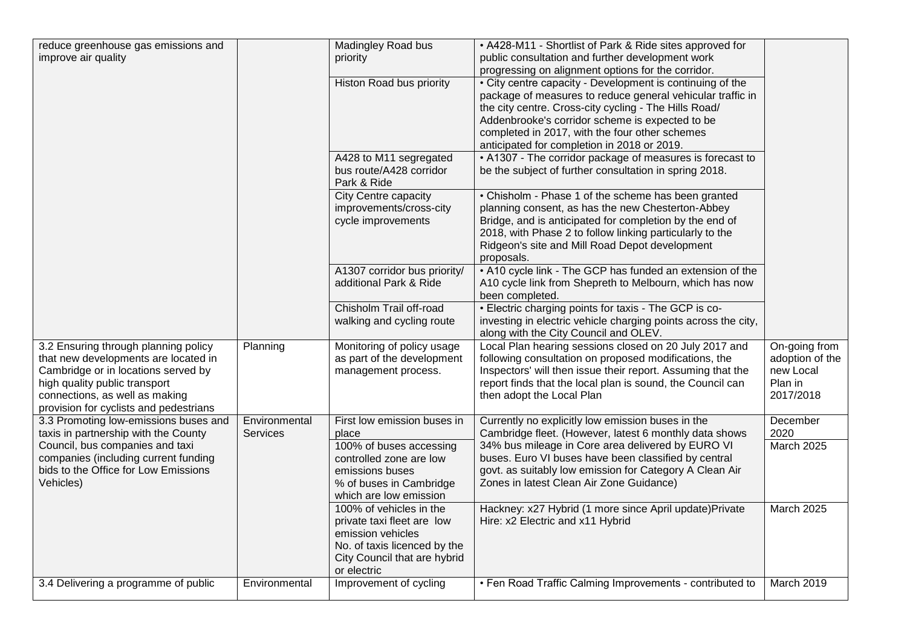| reduce greenhouse gas emissions and<br>improve air quality                                                                                                                                                                       |                                  | Madingley Road bus<br>priority                                                                                                                            | • A428-M11 - Shortlist of Park & Ride sites approved for<br>public consultation and further development work                                                                                                                                                                                                                         |                                                                       |
|----------------------------------------------------------------------------------------------------------------------------------------------------------------------------------------------------------------------------------|----------------------------------|-----------------------------------------------------------------------------------------------------------------------------------------------------------|--------------------------------------------------------------------------------------------------------------------------------------------------------------------------------------------------------------------------------------------------------------------------------------------------------------------------------------|-----------------------------------------------------------------------|
|                                                                                                                                                                                                                                  |                                  |                                                                                                                                                           | progressing on alignment options for the corridor.                                                                                                                                                                                                                                                                                   |                                                                       |
|                                                                                                                                                                                                                                  |                                  | Histon Road bus priority                                                                                                                                  | • City centre capacity - Development is continuing of the<br>package of measures to reduce general vehicular traffic in<br>the city centre. Cross-city cycling - The Hills Road/<br>Addenbrooke's corridor scheme is expected to be<br>completed in 2017, with the four other schemes<br>anticipated for completion in 2018 or 2019. |                                                                       |
|                                                                                                                                                                                                                                  |                                  | A428 to M11 segregated<br>bus route/A428 corridor<br>Park & Ride                                                                                          | • A1307 - The corridor package of measures is forecast to<br>be the subject of further consultation in spring 2018.                                                                                                                                                                                                                  |                                                                       |
|                                                                                                                                                                                                                                  |                                  | City Centre capacity<br>improvements/cross-city<br>cycle improvements                                                                                     | • Chisholm - Phase 1 of the scheme has been granted<br>planning consent, as has the new Chesterton-Abbey<br>Bridge, and is anticipated for completion by the end of<br>2018, with Phase 2 to follow linking particularly to the<br>Ridgeon's site and Mill Road Depot development<br>proposals.                                      |                                                                       |
|                                                                                                                                                                                                                                  |                                  | A1307 corridor bus priority/<br>additional Park & Ride                                                                                                    | • A10 cycle link - The GCP has funded an extension of the<br>A10 cycle link from Shepreth to Melbourn, which has now<br>been completed.                                                                                                                                                                                              |                                                                       |
|                                                                                                                                                                                                                                  |                                  | Chisholm Trail off-road<br>walking and cycling route                                                                                                      | • Electric charging points for taxis - The GCP is co-<br>investing in electric vehicle charging points across the city,<br>along with the City Council and OLEV.                                                                                                                                                                     |                                                                       |
| 3.2 Ensuring through planning policy<br>that new developments are located in<br>Cambridge or in locations served by<br>high quality public transport<br>connections, as well as making<br>provision for cyclists and pedestrians | Planning                         | Monitoring of policy usage<br>as part of the development<br>management process.                                                                           | Local Plan hearing sessions closed on 20 July 2017 and<br>following consultation on proposed modifications, the<br>Inspectors' will then issue their report. Assuming that the<br>report finds that the local plan is sound, the Council can<br>then adopt the Local Plan                                                            | On-going from<br>adoption of the<br>new Local<br>Plan in<br>2017/2018 |
| 3.3 Promoting low-emissions buses and<br>taxis in partnership with the County                                                                                                                                                    | Environmental<br><b>Services</b> | First low emission buses in<br>place                                                                                                                      | Currently no explicitly low emission buses in the<br>Cambridge fleet. (However, latest 6 monthly data shows                                                                                                                                                                                                                          | December<br>2020                                                      |
| Council, bus companies and taxi<br>companies (including current funding<br>bids to the Office for Low Emissions<br>Vehicles)                                                                                                     |                                  | 100% of buses accessing<br>controlled zone are low<br>emissions buses<br>% of buses in Cambridge<br>which are low emission                                | 34% bus mileage in Core area delivered by EURO VI<br>buses. Euro VI buses have been classified by central<br>govt. as suitably low emission for Category A Clean Air<br>Zones in latest Clean Air Zone Guidance)                                                                                                                     | <b>March 2025</b>                                                     |
|                                                                                                                                                                                                                                  |                                  | 100% of vehicles in the<br>private taxi fleet are low<br>emission vehicles<br>No. of taxis licenced by the<br>City Council that are hybrid<br>or electric | Hackney: x27 Hybrid (1 more since April update) Private<br>Hire: x2 Electric and x11 Hybrid                                                                                                                                                                                                                                          | March 2025                                                            |
| 3.4 Delivering a programme of public                                                                                                                                                                                             | Environmental                    | Improvement of cycling                                                                                                                                    | • Fen Road Traffic Calming Improvements - contributed to                                                                                                                                                                                                                                                                             | March 2019                                                            |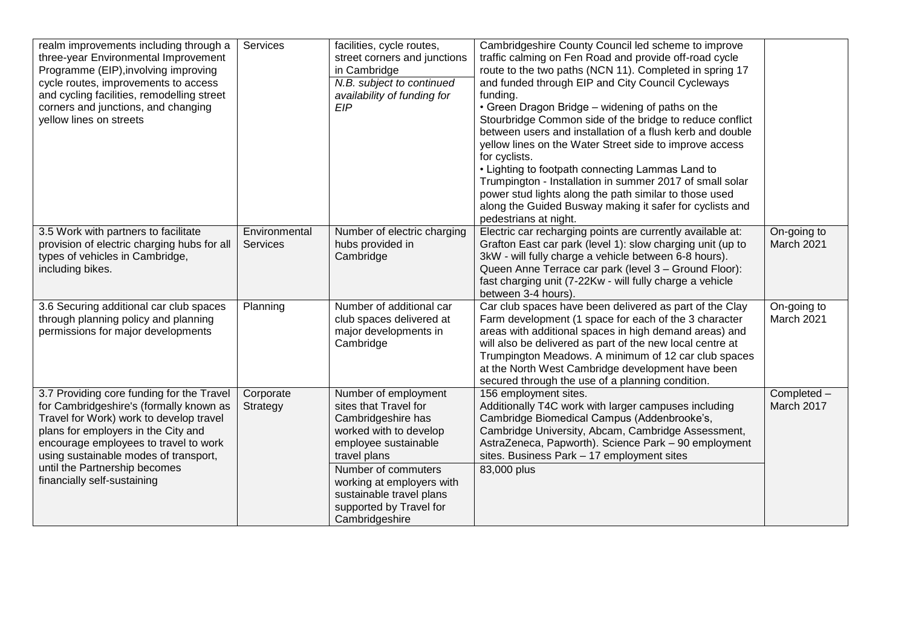| realm improvements including through a<br>three-year Environmental Improvement<br>Programme (EIP), involving improving<br>cycle routes, improvements to access<br>and cycling facilities, remodelling street<br>corners and junctions, and changing<br>yellow lines on streets                                           | Services                         | facilities, cycle routes,<br>street corners and junctions<br>in Cambridge<br>N.B. subject to continued<br>availability of funding for<br><b>EIP</b>                                                                                                                | Cambridgeshire County Council led scheme to improve<br>traffic calming on Fen Road and provide off-road cycle<br>route to the two paths (NCN 11). Completed in spring 17<br>and funded through EIP and City Council Cycleways<br>funding.<br>• Green Dragon Bridge - widening of paths on the<br>Stourbridge Common side of the bridge to reduce conflict<br>between users and installation of a flush kerb and double<br>yellow lines on the Water Street side to improve access<br>for cyclists.<br>• Lighting to footpath connecting Lammas Land to<br>Trumpington - Installation in summer 2017 of small solar<br>power stud lights along the path similar to those used<br>along the Guided Busway making it safer for cyclists and<br>pedestrians at night. |                           |
|--------------------------------------------------------------------------------------------------------------------------------------------------------------------------------------------------------------------------------------------------------------------------------------------------------------------------|----------------------------------|--------------------------------------------------------------------------------------------------------------------------------------------------------------------------------------------------------------------------------------------------------------------|-------------------------------------------------------------------------------------------------------------------------------------------------------------------------------------------------------------------------------------------------------------------------------------------------------------------------------------------------------------------------------------------------------------------------------------------------------------------------------------------------------------------------------------------------------------------------------------------------------------------------------------------------------------------------------------------------------------------------------------------------------------------|---------------------------|
| 3.5 Work with partners to facilitate<br>provision of electric charging hubs for all<br>types of vehicles in Cambridge,<br>including bikes.                                                                                                                                                                               | Environmental<br><b>Services</b> | Number of electric charging<br>hubs provided in<br>Cambridge                                                                                                                                                                                                       | Electric car recharging points are currently available at:<br>Grafton East car park (level 1): slow charging unit (up to<br>3kW - will fully charge a vehicle between 6-8 hours).<br>Queen Anne Terrace car park (level 3 - Ground Floor):<br>fast charging unit (7-22Kw - will fully charge a vehicle<br>between 3-4 hours).                                                                                                                                                                                                                                                                                                                                                                                                                                     | On-going to<br>March 2021 |
| 3.6 Securing additional car club spaces<br>through planning policy and planning<br>permissions for major developments                                                                                                                                                                                                    | Planning                         | Number of additional car<br>club spaces delivered at<br>major developments in<br>Cambridge                                                                                                                                                                         | Car club spaces have been delivered as part of the Clay<br>Farm development (1 space for each of the 3 character<br>areas with additional spaces in high demand areas) and<br>will also be delivered as part of the new local centre at<br>Trumpington Meadows. A minimum of 12 car club spaces<br>at the North West Cambridge development have been<br>secured through the use of a planning condition.                                                                                                                                                                                                                                                                                                                                                          | On-going to<br>March 2021 |
| 3.7 Providing core funding for the Travel<br>for Cambridgeshire's (formally known as<br>Travel for Work) work to develop travel<br>plans for employers in the City and<br>encourage employees to travel to work<br>using sustainable modes of transport,<br>until the Partnership becomes<br>financially self-sustaining | Corporate<br>Strategy            | Number of employment<br>sites that Travel for<br>Cambridgeshire has<br>worked with to develop<br>employee sustainable<br>travel plans<br>Number of commuters<br>working at employers with<br>sustainable travel plans<br>supported by Travel for<br>Cambridgeshire | 156 employment sites.<br>Additionally T4C work with larger campuses including<br>Cambridge Biomedical Campus (Addenbrooke's,<br>Cambridge University, Abcam, Cambridge Assessment,<br>AstraZeneca, Papworth). Science Park - 90 employment<br>sites. Business Park - 17 employment sites<br>83,000 plus                                                                                                                                                                                                                                                                                                                                                                                                                                                           | Completed -<br>March 2017 |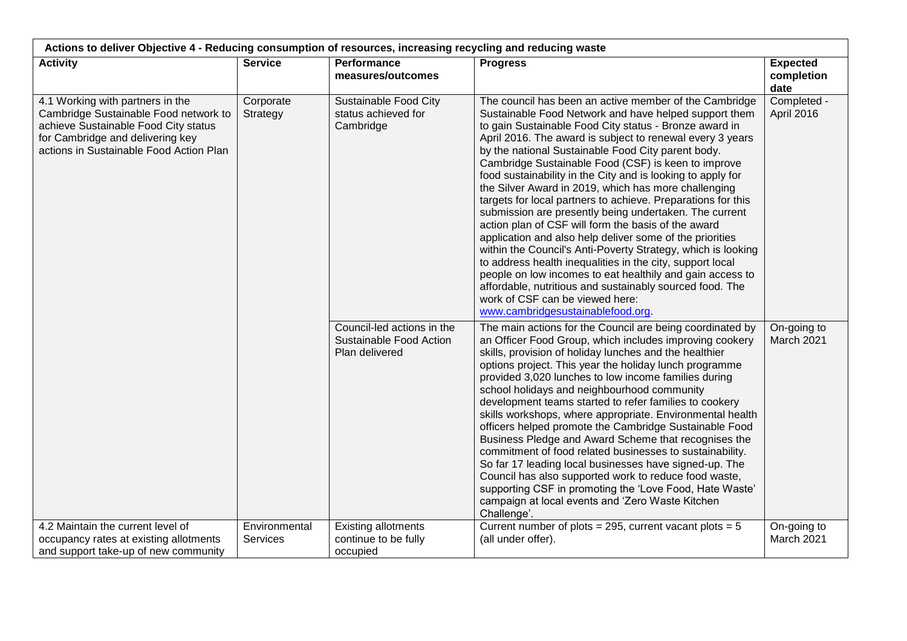| Actions to deliver Objective 4 - Reducing consumption of resources, increasing recycling and reducing waste                                                                                      |                                  |                                                                         |                                                                                                                                                                                                                                                                                                                                                                                                                                                                                                                                                                                                                                                                                                                                                                                                                                                                                                                                                                                                                                                       |                                       |
|--------------------------------------------------------------------------------------------------------------------------------------------------------------------------------------------------|----------------------------------|-------------------------------------------------------------------------|-------------------------------------------------------------------------------------------------------------------------------------------------------------------------------------------------------------------------------------------------------------------------------------------------------------------------------------------------------------------------------------------------------------------------------------------------------------------------------------------------------------------------------------------------------------------------------------------------------------------------------------------------------------------------------------------------------------------------------------------------------------------------------------------------------------------------------------------------------------------------------------------------------------------------------------------------------------------------------------------------------------------------------------------------------|---------------------------------------|
| <b>Activity</b>                                                                                                                                                                                  | <b>Service</b>                   | <b>Performance</b><br>measures/outcomes                                 | <b>Progress</b>                                                                                                                                                                                                                                                                                                                                                                                                                                                                                                                                                                                                                                                                                                                                                                                                                                                                                                                                                                                                                                       | <b>Expected</b><br>completion<br>date |
| 4.1 Working with partners in the<br>Cambridge Sustainable Food network to<br>achieve Sustainable Food City status<br>for Cambridge and delivering key<br>actions in Sustainable Food Action Plan | Corporate<br>Strategy            | Sustainable Food City<br>status achieved for<br>Cambridge               | The council has been an active member of the Cambridge<br>Sustainable Food Network and have helped support them<br>to gain Sustainable Food City status - Bronze award in<br>April 2016. The award is subject to renewal every 3 years<br>by the national Sustainable Food City parent body.<br>Cambridge Sustainable Food (CSF) is keen to improve<br>food sustainability in the City and is looking to apply for<br>the Silver Award in 2019, which has more challenging<br>targets for local partners to achieve. Preparations for this<br>submission are presently being undertaken. The current<br>action plan of CSF will form the basis of the award<br>application and also help deliver some of the priorities<br>within the Council's Anti-Poverty Strategy, which is looking<br>to address health inequalities in the city, support local<br>people on low incomes to eat healthily and gain access to<br>affordable, nutritious and sustainably sourced food. The<br>work of CSF can be viewed here:<br>www.cambridgesustainablefood.org. | Completed -<br>April 2016             |
|                                                                                                                                                                                                  |                                  | Council-led actions in the<br>Sustainable Food Action<br>Plan delivered | The main actions for the Council are being coordinated by<br>an Officer Food Group, which includes improving cookery<br>skills, provision of holiday lunches and the healthier<br>options project. This year the holiday lunch programme<br>provided 3,020 lunches to low income families during<br>school holidays and neighbourhood community<br>development teams started to refer families to cookery<br>skills workshops, where appropriate. Environmental health<br>officers helped promote the Cambridge Sustainable Food<br>Business Pledge and Award Scheme that recognises the<br>commitment of food related businesses to sustainability.<br>So far 17 leading local businesses have signed-up. The<br>Council has also supported work to reduce food waste,<br>supporting CSF in promoting the 'Love Food, Hate Waste'<br>campaign at local events and 'Zero Waste Kitchen<br>Challenge'.                                                                                                                                                 | On-going to<br>March 2021             |
| 4.2 Maintain the current level of<br>occupancy rates at existing allotments<br>and support take-up of new community                                                                              | Environmental<br><b>Services</b> | <b>Existing allotments</b><br>continue to be fully<br>occupied          | Current number of plots = 295, current vacant plots = $5$<br>(all under offer).                                                                                                                                                                                                                                                                                                                                                                                                                                                                                                                                                                                                                                                                                                                                                                                                                                                                                                                                                                       | On-going to<br>March 2021             |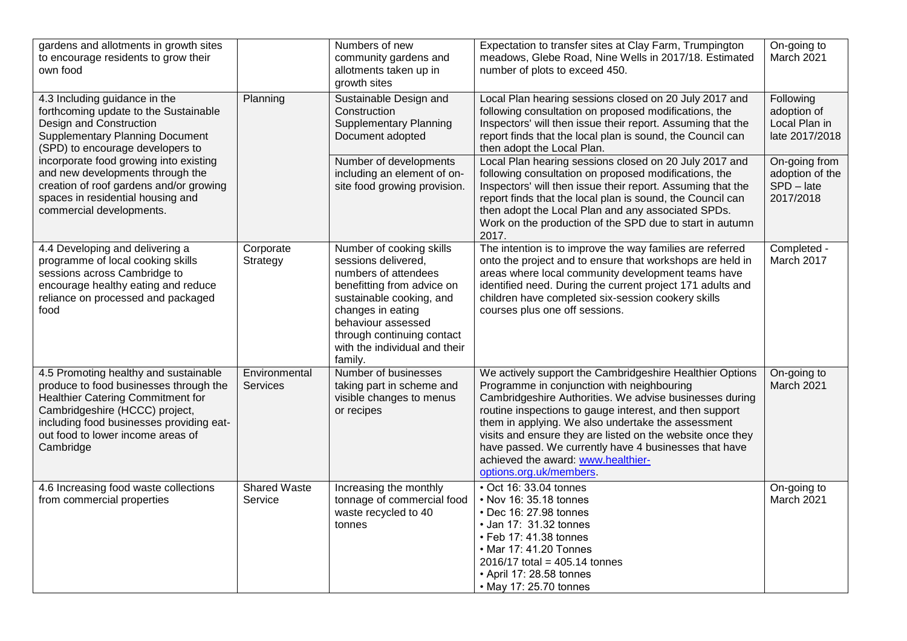| gardens and allotments in growth sites<br>to encourage residents to grow their<br>own food                                                                                                                                                                                                                                                                                |                                | Numbers of new<br>community gardens and<br>allotments taken up in<br>growth sites                                                                                                                                                                      | Expectation to transfer sites at Clay Farm, Trumpington<br>meadows, Glebe Road, Nine Wells in 2017/18. Estimated<br>number of plots to exceed 450.                                                                                                                                                                                                                                                                                                                         | On-going to<br>March 2021                                     |
|---------------------------------------------------------------------------------------------------------------------------------------------------------------------------------------------------------------------------------------------------------------------------------------------------------------------------------------------------------------------------|--------------------------------|--------------------------------------------------------------------------------------------------------------------------------------------------------------------------------------------------------------------------------------------------------|----------------------------------------------------------------------------------------------------------------------------------------------------------------------------------------------------------------------------------------------------------------------------------------------------------------------------------------------------------------------------------------------------------------------------------------------------------------------------|---------------------------------------------------------------|
| 4.3 Including guidance in the<br>forthcoming update to the Sustainable<br>Design and Construction<br><b>Supplementary Planning Document</b><br>(SPD) to encourage developers to<br>incorporate food growing into existing<br>and new developments through the<br>creation of roof gardens and/or growing<br>spaces in residential housing and<br>commercial developments. | Planning                       | Sustainable Design and<br>Construction<br><b>Supplementary Planning</b><br>Document adopted                                                                                                                                                            | Local Plan hearing sessions closed on 20 July 2017 and<br>following consultation on proposed modifications, the<br>Inspectors' will then issue their report. Assuming that the<br>report finds that the local plan is sound, the Council can<br>then adopt the Local Plan.                                                                                                                                                                                                 | Following<br>adoption of<br>Local Plan in<br>late 2017/2018   |
|                                                                                                                                                                                                                                                                                                                                                                           |                                | Number of developments<br>including an element of on-<br>site food growing provision.                                                                                                                                                                  | Local Plan hearing sessions closed on 20 July 2017 and<br>following consultation on proposed modifications, the<br>Inspectors' will then issue their report. Assuming that the<br>report finds that the local plan is sound, the Council can<br>then adopt the Local Plan and any associated SPDs.<br>Work on the production of the SPD due to start in autumn<br>2017.                                                                                                    | On-going from<br>adoption of the<br>$SPD - late$<br>2017/2018 |
| 4.4 Developing and delivering a<br>programme of local cooking skills<br>sessions across Cambridge to<br>encourage healthy eating and reduce<br>reliance on processed and packaged<br>food                                                                                                                                                                                 | Corporate<br>Strategy          | Number of cooking skills<br>sessions delivered,<br>numbers of attendees<br>benefitting from advice on<br>sustainable cooking, and<br>changes in eating<br>behaviour assessed<br>through continuing contact<br>with the individual and their<br>family. | The intention is to improve the way families are referred<br>onto the project and to ensure that workshops are held in<br>areas where local community development teams have<br>identified need. During the current project 171 adults and<br>children have completed six-session cookery skills<br>courses plus one off sessions.                                                                                                                                         | Completed -<br>March 2017                                     |
| 4.5 Promoting healthy and sustainable<br>produce to food businesses through the<br>Healthier Catering Commitment for<br>Cambridgeshire (HCCC) project,<br>including food businesses providing eat-<br>out food to lower income areas of<br>Cambridge                                                                                                                      | Environmental<br>Services      | Number of businesses<br>taking part in scheme and<br>visible changes to menus<br>or recipes                                                                                                                                                            | We actively support the Cambridgeshire Healthier Options<br>Programme in conjunction with neighbouring<br>Cambridgeshire Authorities. We advise businesses during<br>routine inspections to gauge interest, and then support<br>them in applying. We also undertake the assessment<br>visits and ensure they are listed on the website once they<br>have passed. We currently have 4 businesses that have<br>achieved the award: www.healthier-<br>options.org.uk/members. | On-going to<br>March 2021                                     |
| 4.6 Increasing food waste collections<br>from commercial properties                                                                                                                                                                                                                                                                                                       | <b>Shared Waste</b><br>Service | Increasing the monthly<br>tonnage of commercial food<br>waste recycled to 40<br>tonnes                                                                                                                                                                 | $\overline{\bullet}$ Oct 16: 33.04 tonnes<br>• Nov 16: 35.18 tonnes<br>• Dec 16: 27.98 tonnes<br>• Jan 17: 31.32 tonnes<br>• Feb 17: 41.38 tonnes<br>• Mar 17: 41.20 Tonnes<br>$2016/17$ total = 405.14 tonnes<br>• April 17: 28.58 tonnes<br>• May 17: 25.70 tonnes                                                                                                                                                                                                       | On-going to<br>March 2021                                     |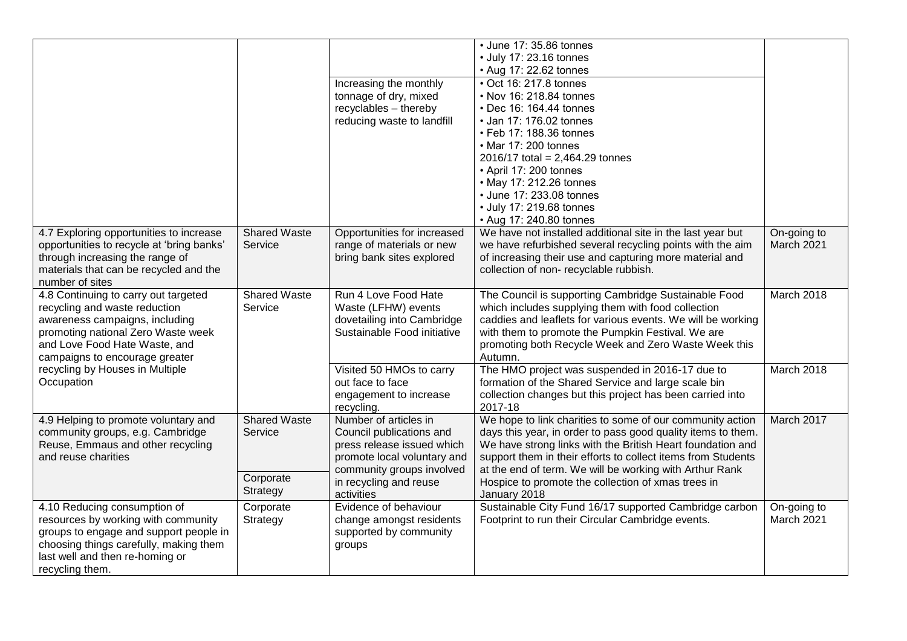|                                                                                                                                                                                                                  |                                | Increasing the monthly<br>tonnage of dry, mixed<br>recyclables - thereby<br>reducing waste to landfill                                      | • June 17: 35.86 tonnes<br>• July 17: 23.16 tonnes<br>• Aug 17: 22.62 tonnes<br>• Oct 16: 217.8 tonnes<br>• Nov 16: 218.84 tonnes<br>• Dec 16: 164.44 tonnes<br>• Jan 17: 176.02 tonnes<br>• Feb 17: 188.36 tonnes<br>• Mar 17: 200 tonnes<br>$2016/17$ total = 2,464.29 tonnes<br>• April 17: 200 tonnes<br>• May 17: 212.26 tonnes<br>• June 17: 233.08 tonnes<br>• July 17: 219.68 tonnes<br>• Aug 17: 240.80 tonnes |                           |
|------------------------------------------------------------------------------------------------------------------------------------------------------------------------------------------------------------------|--------------------------------|---------------------------------------------------------------------------------------------------------------------------------------------|-------------------------------------------------------------------------------------------------------------------------------------------------------------------------------------------------------------------------------------------------------------------------------------------------------------------------------------------------------------------------------------------------------------------------|---------------------------|
| 4.7 Exploring opportunities to increase<br>opportunities to recycle at 'bring banks'<br>through increasing the range of<br>materials that can be recycled and the<br>number of sites                             | <b>Shared Waste</b><br>Service | Opportunities for increased<br>range of materials or new<br>bring bank sites explored                                                       | We have not installed additional site in the last year but<br>we have refurbished several recycling points with the aim<br>of increasing their use and capturing more material and<br>collection of non-recyclable rubbish.                                                                                                                                                                                             | On-going to<br>March 2021 |
| 4.8 Continuing to carry out targeted<br>recycling and waste reduction<br>awareness campaigns, including<br>promoting national Zero Waste week<br>and Love Food Hate Waste, and<br>campaigns to encourage greater | <b>Shared Waste</b><br>Service | Run 4 Love Food Hate<br>Waste (LFHW) events<br>dovetailing into Cambridge<br>Sustainable Food initiative                                    | The Council is supporting Cambridge Sustainable Food<br>which includes supplying them with food collection<br>caddies and leaflets for various events. We will be working<br>with them to promote the Pumpkin Festival. We are<br>promoting both Recycle Week and Zero Waste Week this<br>Autumn.                                                                                                                       | March 2018                |
| recycling by Houses in Multiple<br>Occupation                                                                                                                                                                    |                                | Visited 50 HMOs to carry<br>out face to face<br>engagement to increase<br>recycling.                                                        | The HMO project was suspended in 2016-17 due to<br>formation of the Shared Service and large scale bin<br>collection changes but this project has been carried into<br>2017-18                                                                                                                                                                                                                                          | March 2018                |
| 4.9 Helping to promote voluntary and<br>community groups, e.g. Cambridge<br>Reuse, Emmaus and other recycling<br>and reuse charities                                                                             | <b>Shared Waste</b><br>Service | Number of articles in<br>Council publications and<br>press release issued which<br>promote local voluntary and<br>community groups involved | We hope to link charities to some of our community action<br>days this year, in order to pass good quality items to them.<br>We have strong links with the British Heart foundation and<br>support them in their efforts to collect items from Students<br>at the end of term. We will be working with Arthur Rank                                                                                                      | March 2017                |
|                                                                                                                                                                                                                  | Corporate<br>Strategy          | in recycling and reuse<br>activities                                                                                                        | Hospice to promote the collection of xmas trees in<br>January 2018                                                                                                                                                                                                                                                                                                                                                      |                           |
| 4.10 Reducing consumption of<br>resources by working with community<br>groups to engage and support people in<br>choosing things carefully, making them<br>last well and then re-homing or<br>recycling them.    | Corporate<br>Strategy          | Evidence of behaviour<br>change amongst residents<br>supported by community<br>groups                                                       | Sustainable City Fund 16/17 supported Cambridge carbon<br>Footprint to run their Circular Cambridge events.                                                                                                                                                                                                                                                                                                             | On-going to<br>March 2021 |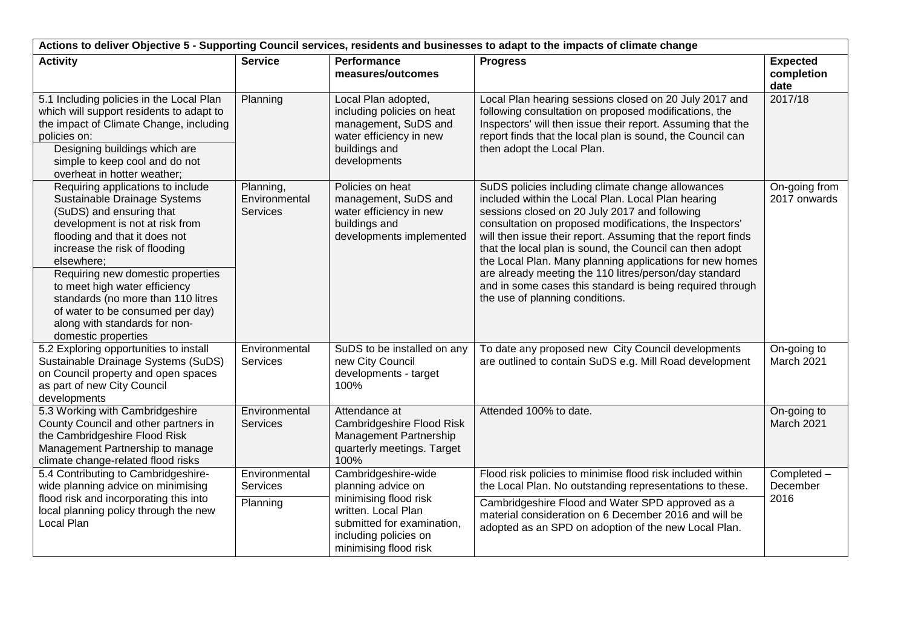| Actions to deliver Objective 5 - Supporting Council services, residents and businesses to adapt to the impacts of climate change                                                                                                                                                                                                                                                                                         |                                               |                                                                                                                                                                           |                                                                                                                                                                                                                                                                                                                                                                                                                                                                                                                                                                       |                                       |  |
|--------------------------------------------------------------------------------------------------------------------------------------------------------------------------------------------------------------------------------------------------------------------------------------------------------------------------------------------------------------------------------------------------------------------------|-----------------------------------------------|---------------------------------------------------------------------------------------------------------------------------------------------------------------------------|-----------------------------------------------------------------------------------------------------------------------------------------------------------------------------------------------------------------------------------------------------------------------------------------------------------------------------------------------------------------------------------------------------------------------------------------------------------------------------------------------------------------------------------------------------------------------|---------------------------------------|--|
| <b>Activity</b>                                                                                                                                                                                                                                                                                                                                                                                                          | <b>Service</b>                                | <b>Performance</b><br>measures/outcomes                                                                                                                                   | <b>Progress</b>                                                                                                                                                                                                                                                                                                                                                                                                                                                                                                                                                       | <b>Expected</b><br>completion<br>date |  |
| 5.1 Including policies in the Local Plan<br>which will support residents to adapt to<br>the impact of Climate Change, including<br>policies on:<br>Designing buildings which are<br>simple to keep cool and do not<br>overheat in hotter weather;                                                                                                                                                                        | Planning                                      | Local Plan adopted,<br>including policies on heat<br>management, SuDS and<br>water efficiency in new<br>buildings and<br>developments                                     | Local Plan hearing sessions closed on 20 July 2017 and<br>following consultation on proposed modifications, the<br>Inspectors' will then issue their report. Assuming that the<br>report finds that the local plan is sound, the Council can<br>then adopt the Local Plan.                                                                                                                                                                                                                                                                                            | 2017/18                               |  |
| Requiring applications to include<br>Sustainable Drainage Systems<br>(SuDS) and ensuring that<br>development is not at risk from<br>flooding and that it does not<br>increase the risk of flooding<br>elsewhere;<br>Requiring new domestic properties<br>to meet high water efficiency<br>standards (no more than 110 litres<br>of water to be consumed per day)<br>along with standards for non-<br>domestic properties | Planning,<br>Environmental<br><b>Services</b> | Policies on heat<br>management, SuDS and<br>water efficiency in new<br>buildings and<br>developments implemented                                                          | SuDS policies including climate change allowances<br>included within the Local Plan. Local Plan hearing<br>sessions closed on 20 July 2017 and following<br>consultation on proposed modifications, the Inspectors'<br>will then issue their report. Assuming that the report finds<br>that the local plan is sound, the Council can then adopt<br>the Local Plan. Many planning applications for new homes<br>are already meeting the 110 litres/person/day standard<br>and in some cases this standard is being required through<br>the use of planning conditions. | On-going from<br>2017 onwards         |  |
| 5.2 Exploring opportunities to install<br>Sustainable Drainage Systems (SuDS)<br>on Council property and open spaces<br>as part of new City Council<br>developments                                                                                                                                                                                                                                                      | Environmental<br><b>Services</b>              | SuDS to be installed on any<br>new City Council<br>developments - target<br>100%                                                                                          | To date any proposed new City Council developments<br>are outlined to contain SuDS e.g. Mill Road development                                                                                                                                                                                                                                                                                                                                                                                                                                                         | On-going to<br>March 2021             |  |
| 5.3 Working with Cambridgeshire<br>County Council and other partners in<br>the Cambridgeshire Flood Risk<br>Management Partnership to manage<br>climate change-related flood risks                                                                                                                                                                                                                                       | Environmental<br><b>Services</b>              | Attendance at<br>Cambridgeshire Flood Risk<br>Management Partnership<br>quarterly meetings. Target<br>100%                                                                | Attended 100% to date.                                                                                                                                                                                                                                                                                                                                                                                                                                                                                                                                                | On-going to<br>March 2021             |  |
| 5.4 Contributing to Cambridgeshire-<br>wide planning advice on minimising                                                                                                                                                                                                                                                                                                                                                | Environmental<br>Services                     | Cambridgeshire-wide<br>planning advice on<br>minimising flood risk<br>written. Local Plan<br>submitted for examination,<br>including policies on<br>minimising flood risk | Flood risk policies to minimise flood risk included within<br>the Local Plan. No outstanding representations to these.                                                                                                                                                                                                                                                                                                                                                                                                                                                | Completed -<br>December<br>2016       |  |
| flood risk and incorporating this into<br>local planning policy through the new<br>Local Plan                                                                                                                                                                                                                                                                                                                            | Planning                                      |                                                                                                                                                                           | Cambridgeshire Flood and Water SPD approved as a<br>material consideration on 6 December 2016 and will be<br>adopted as an SPD on adoption of the new Local Plan.                                                                                                                                                                                                                                                                                                                                                                                                     |                                       |  |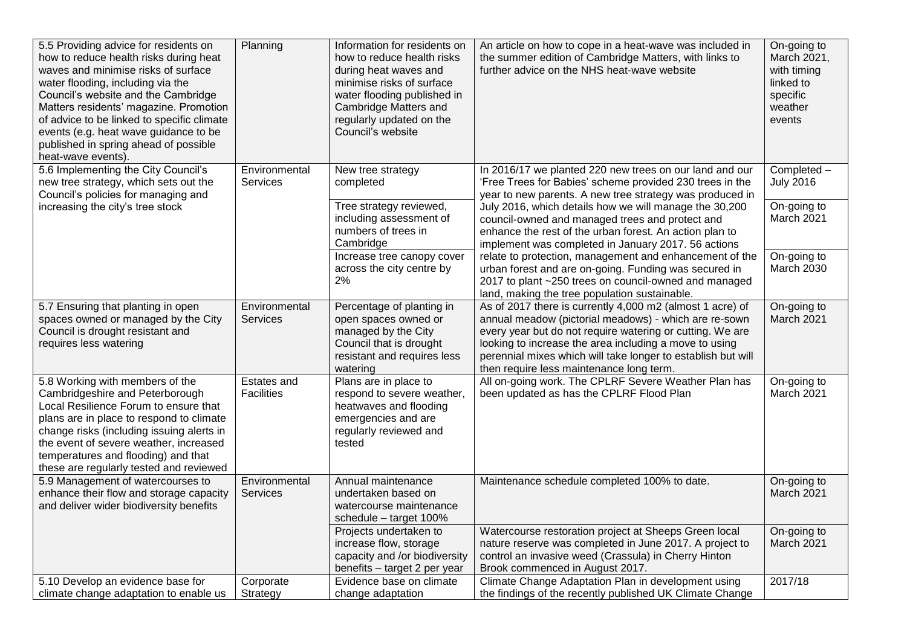| 5.5 Providing advice for residents on<br>how to reduce health risks during heat<br>waves and minimise risks of surface<br>water flooding, including via the<br>Council's website and the Cambridge<br>Matters residents' magazine. Promotion<br>of advice to be linked to specific climate<br>events (e.g. heat wave guidance to be<br>published in spring ahead of possible<br>heat-wave events). | Planning                         | Information for residents on<br>how to reduce health risks<br>during heat waves and<br>minimise risks of surface<br>water flooding published in<br>Cambridge Matters and<br>regularly updated on the<br>Council's website | An article on how to cope in a heat-wave was included in<br>the summer edition of Cambridge Matters, with links to<br>further advice on the NHS heat-wave website                                                                                                                                                                                     | On-going to<br>March 2021,<br>with timing<br>linked to<br>specific<br>weather<br>events |
|----------------------------------------------------------------------------------------------------------------------------------------------------------------------------------------------------------------------------------------------------------------------------------------------------------------------------------------------------------------------------------------------------|----------------------------------|---------------------------------------------------------------------------------------------------------------------------------------------------------------------------------------------------------------------------|-------------------------------------------------------------------------------------------------------------------------------------------------------------------------------------------------------------------------------------------------------------------------------------------------------------------------------------------------------|-----------------------------------------------------------------------------------------|
| 5.6 Implementing the City Council's<br>new tree strategy, which sets out the<br>Council's policies for managing and                                                                                                                                                                                                                                                                                | Environmental<br><b>Services</b> | New tree strategy<br>completed                                                                                                                                                                                            | In 2016/17 we planted 220 new trees on our land and our<br>'Free Trees for Babies' scheme provided 230 trees in the<br>year to new parents. A new tree strategy was produced in                                                                                                                                                                       | Completed -<br><b>July 2016</b>                                                         |
| increasing the city's tree stock                                                                                                                                                                                                                                                                                                                                                                   |                                  | Tree strategy reviewed,<br>including assessment of<br>numbers of trees in<br>Cambridge                                                                                                                                    | July 2016, which details how we will manage the 30,200<br>council-owned and managed trees and protect and<br>enhance the rest of the urban forest. An action plan to<br>implement was completed in January 2017. 56 actions                                                                                                                           | On-going to<br>March 2021                                                               |
|                                                                                                                                                                                                                                                                                                                                                                                                    |                                  | Increase tree canopy cover<br>across the city centre by<br>2%                                                                                                                                                             | relate to protection, management and enhancement of the<br>urban forest and are on-going. Funding was secured in<br>2017 to plant ~250 trees on council-owned and managed<br>land, making the tree population sustainable.                                                                                                                            | On-going to<br>March 2030                                                               |
| 5.7 Ensuring that planting in open<br>spaces owned or managed by the City<br>Council is drought resistant and<br>requires less watering                                                                                                                                                                                                                                                            | Environmental<br><b>Services</b> | Percentage of planting in<br>open spaces owned or<br>managed by the City<br>Council that is drought<br>resistant and requires less<br>watering                                                                            | As of 2017 there is currently 4,000 m2 (almost 1 acre) of<br>annual meadow (pictorial meadows) - which are re-sown<br>every year but do not require watering or cutting. We are<br>looking to increase the area including a move to using<br>perennial mixes which will take longer to establish but will<br>then require less maintenance long term. | On-going to<br>March 2021                                                               |
| 5.8 Working with members of the<br>Cambridgeshire and Peterborough<br>Local Resilience Forum to ensure that<br>plans are in place to respond to climate<br>change risks (including issuing alerts in<br>the event of severe weather, increased<br>temperatures and flooding) and that<br>these are regularly tested and reviewed                                                                   | Estates and<br><b>Facilities</b> | Plans are in place to<br>respond to severe weather,<br>heatwaves and flooding<br>emergencies and are<br>regularly reviewed and<br>tested                                                                                  | All on-going work. The CPLRF Severe Weather Plan has<br>been updated as has the CPLRF Flood Plan                                                                                                                                                                                                                                                      | On-going to<br>March 2021                                                               |
| 5.9 Management of watercourses to<br>enhance their flow and storage capacity<br>and deliver wider biodiversity benefits                                                                                                                                                                                                                                                                            | Environmental<br><b>Services</b> | Annual maintenance<br>undertaken based on<br>watercourse maintenance<br>schedule - target 100%                                                                                                                            | Maintenance schedule completed 100% to date.                                                                                                                                                                                                                                                                                                          | On-going to<br><b>March 2021</b>                                                        |
|                                                                                                                                                                                                                                                                                                                                                                                                    |                                  | Projects undertaken to<br>increase flow, storage<br>capacity and /or biodiversity<br>benefits - target 2 per year                                                                                                         | Watercourse restoration project at Sheeps Green local<br>nature reserve was completed in June 2017. A project to<br>control an invasive weed (Crassula) in Cherry Hinton<br>Brook commenced in August 2017.                                                                                                                                           | On-going to<br>March 2021                                                               |
| 5.10 Develop an evidence base for<br>climate change adaptation to enable us                                                                                                                                                                                                                                                                                                                        | Corporate<br>Strategy            | Evidence base on climate<br>change adaptation                                                                                                                                                                             | Climate Change Adaptation Plan in development using<br>the findings of the recently published UK Climate Change                                                                                                                                                                                                                                       | 2017/18                                                                                 |